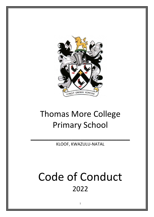

## Thomas More College Primary School

KLOOF, KWAZULU-NATAL

 $\mathcal{L}_\text{max}$  and  $\mathcal{L}_\text{max}$  are the set of  $\mathcal{L}_\text{max}$  and  $\mathcal{L}_\text{max}$ 

# Code of Conduct 2022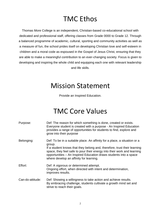### TMC Ethos

Thomas More College is an independent, Christian-based co-educational school with dedicated and professional staff, offering classes from Grade 0000 to Grade 12. Through a balanced programme of academic, cultural, sporting and community activities as well as a measure of fun, the school prides itself on developing Christian love and self-esteem in children and a moral code as espoused in the Gospel of Jesus Christ, ensuring that they are able to make a meaningful contribution to an ever-changing society. Focus is given to developing and inspiring the whole child and equipping each one with relevant leadership and life skills.

### Mission Statement

Provide an Inspired Education.

### TMC Core Values

| Purpose:         | Def: The reason for which something is done, created or exists.<br>Everyone student is created with a purpose - An Inspired Education<br>provides a range of opportunities for students to find, explore and<br>grow into their purpose                                                                                                                    |
|------------------|------------------------------------------------------------------------------------------------------------------------------------------------------------------------------------------------------------------------------------------------------------------------------------------------------------------------------------------------------------|
| Belonging:       | Def: To be in a suitable place. An affinity for a place, a situation or a<br>group.<br>If a student knows that they belong and, therefore, trust their learning<br>space, they feel safe to pour their energy into their work and learning<br>opportunities - An Inspired Education draws students into a space<br>where develop an affinity for learning. |
| Effort:          | Def: A vigorous or determined attempt.<br>Ongoing effort, when directed with intent and determination,<br>improves results.                                                                                                                                                                                                                                |
| Can-do-attitude: | Def: Showing a willingness to take action and achieve results.<br>By embracing challenge, students cultivate a growth mind set and<br>strive to reach their goals.                                                                                                                                                                                         |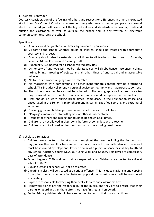#### 1) General Behaviour

Courtesy, consideration of the feelings of others and respect for differences in others is expected at all times. Our Code of Conduct is focused on the golden rule of treating people as you would like to be treated yourself. We expect the highest values and standards of behaviour, inside and outside the classroom, as well as outside the school and in any written or electronic communication regarding the school.

Specifically:

- a) Adults should be greeted at all times, by surname if you know it.
- b) Visitors to the school, whether adults or children, should be treated with appropriate courtesy and respect.
- c) Courtesy should also be extended at all times to all teachers, interns and to Grounds, Security, Admin, Kitchen and Cleaning staff.
- d) Punctuality is expected for all school-related activities.
- e) Dishonesty of any type will not be tolerated, nor will disobedience, insolence, kicking, hitting, biting, throwing of objects and all other kinds of anti-social and unacceptable behaviour.
- f) No foul or improper language will be tolerated.
- g) No magazines with pornographic or other inappropriate content may be brought to school. This includes cell phone / personal device pornography and inappropriate content.
- h) The school's Internet Policy must be adhered to. No pornographic or inappropriate sites may be visited, and if stumbled upon inadvertently, should be reported to the teacher.
- i) Hats should be worn during break times (compulsory in the Foundation Phase and encouraged in the Senior Primary phase) and in certain specified sporting and extramural activities.
- j) Chewing gum and bubble gum are banned at all times and in all places.
- k) "Playing" a member of staff off against another is unacceptable.
- l) Respect for others and respect for adults to be shown at all times.
- m) Children are not allowed in classrooms before school, unless with a teacher.
- n) Children are not allowed in classrooms or on corridors during break times.
- 2) Scholastic Behaviour
	- a) Children are expected to be at school throughout the term, including the first and last days, unless they are ill or have some other valid reason for non-attendance. The school must be informed by telephone, letter or email of a pupil's absence or inability to attend any school function. Sports Days, our Long Walk and Country Fair days are compulsory days of attendance.
	- b) School **begins** at 7:30, and punctuality is expected by all. Children are expected to arrive at school by 07:20.
	- c) Bunking lessons or school will not be tolerated.
	- d) Cheating in class will be treated as a serious offence. This includes plagiarism and copying from others. Any communication between pupils during a test or exam will be considered as cheating.
	- e) Pupils are responsible for keeping their desks, lockers and classrooms tidy.
	- f) Homework diaries are the responsibility of the pupils, and they are to ensure that their parents or guardians sign them after they have finished all homework.
	- g) Senior Primary children should have something to read in their bags at all times.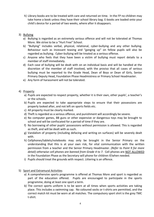h) Library books are to be treated with care and returned on time. In the FP no children may take home a book unless they have their school library bag. E-books are loaded onto your child's device for a period of two weeks, where after it disappears.

#### 3) Bullying

- a) Bullying is regarded as an extremely serious offence and will not be tolerated at Thomas More. We strive to be a "Hurt Free" School.
- b) "Bullying" includes verbal, physical, relational, cyber-bullying and any other bullying. Behaviour such as incessant teasing and "ganging up" on fellow pupils will also be regarded as bullying. Cyber-bullying will be treated as a serious offense.
- c) Anyone who feels that they have been a victim of bullying must report details to a member of staff immediately.
- d) Each case of bullying will be dealt with on an individual basis and will be handled at the discretion of the member of staff involved, with the proviso that all cases of serious bullying must be reported to the Grade Head, Dean of Boys or Dean of Girls, Senior Primary Deputy Head, Foundation Phase Headmistress or Primary School Headmaster.
- e) Any form of harassment will not be tolerated.

#### 4) Property

- a) Pupils are expected to respect property, whether it is their own, other pupils', a teacher's or the schools.
- b) Pupils are expected to take appropriate steps to ensure that their possessions are properly looked after, and not left on sports fields etc.
- c) All property must be clearly marked.
- d) Theft is regarded as a serious offence, and punishment will accordingly be severe.
- e) No computer games, BB guns or other expensive or dangerous toys may be brought to school and will be confiscated for a period of time if they are.
- f) No borrowing of other pupils' possessions without permission is allowed. This is regarded as theft, and will be dealt with as such.
- g) Vandalism of property (including defacing and writing on surfaces) will be severely dealt with.
- h) Cellphones/tablets/notebooks may only be brought in the Senior Primary on the understanding that this is at your own risk, for vital communication with the written permission from a teacher and the Senior Primary Headmaster. *(Refer to Point 9 for more detail) otherwise cell phones are banned from Grade 4 to 7.* Cell phones are NOT ALLOWED in the Foundation Phase as the Secretary will phone for children if/when needed.
- i) Pupils should treat the grounds with respect. Littering is an offence.
- 5) Sport and Extramural Activities
	- a) A comprehensive sports programme is offered at Thomas More and sport is regarded as part of the education offered. Pupils are encouraged to participate in the sports programme, doing at least one sport a term.
	- b) The correct sports uniform is to be worn at all times when sports activities are taking place. This includes a swimming cap. No coloured socks or t-shirts are permitted, and the correct match kit must be worn at all matches. The compulsory sport shirt is the grey TMC t-shirt.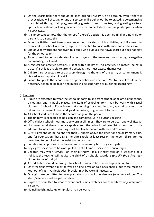- c) On the sports field, there should be keen, friendly rivalry. On no account, even if there is provocation, will cheating or any unsportsmanlike behaviour be tolerated. Sportsmanship is exhibited through fair play, escorting guests to and from tea, and greeting visitors. Sports teams should act as gracious hosts for home fixtures and as polite guests when playing away.
- d) It is important to note that the umpire/referee's decision is deemed final and no child or parent is to dispute this.
- e) School activities must take precedence over private or club activities, and if chosen to represent the school in a team, pupils are expected to do so with pride and enthusiasm.
- f) End of year awards are not given to a pupil who pursues their own sport but does not play for the school team.
- g) Players need to be considerate of other players in the team and no shouting or negative commenting is allowed.
- h) A register for practice sessions is kept with a policy of "no practice, no match" being in place. If a child is unable to attend a session, they must excuse themselves.
- i) Children are expected to see a sport through to the end of the term, as commitment is viewed as an important life skill.
- j) Failure to uphold the school name or poor behaviour when on TMC Tours will result in the necessary action being taken and pupils will be sent home or punished accordingly.

#### 6) Uniform

- a) Pupils are expected to wear the school uniform to and from school, at all official functions, on outings and in public places. No item of school uniform may be worn with casual clothes. If school uniform is worn at shopping malls and in town, special care must be taken, both in correct dress and good behaviour, to give credit to the school.
- b) All school shirts are to have the school badge on the pocket.
- c) The uniform is expected to be clean and complete, i.e. no buttons missing.
- d) Official black school shoes must be worn at all times. They are to be clean and well fitted.
- e) Unconventional dress is unacceptable and the school uniform list should be strictly adhered to. All items of clothing must be clearly marked with the child's name.
- f) Girls' skirts should be no shorter than 3 fingers above the knee for Senior Primary girls, and for Foundation Phase girls the skirt should at least rest on the knee. Skirts are not permitted to be rolled at the waist to shorten them.
- g) Suitable and appropriate underwear must be worn by both boys and girls.
- h) Boys' grey socks are to be worn pulled up at all times. Garters are encouraged.
- i) Children may wear "civvies" on their birthday. If a birthday falls on a weekend or a holiday, the teacher will advise the child of a suitable day/date *(usually the school day closest to the birthday).*
- j) An old T-shirt should be brought to school to wear in Art classes to protect uniform.
- k) Only religious symbols may be worn on fine silver or gold neck chains, but these must be kept out of sight. A Medic-Alert bracelet may be worn if necessary.
- l) Only girls are permitted to wear plain studs or small thin sleepers (one per earlobe). The studs/sleepers must be gold or silver.
- m)Pupils are permitted to wear conventional, simple watches. No other items of jewelry may be worn.
- n) No nail polish, make-up or lip-gloss may be worn.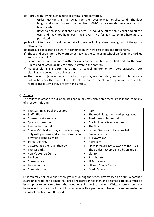- o) Hair: Gelling, dying, highlighting or tinting is not permitted.
	- Girls: must clip their hair away from their eyes or wear an alice-band. Shoulder length and longer hair must be tied back. Girls' hair accessories may only be plain black or white.
	- Boys: hair must be kept short and neat. It should be off the shirt collar and off the ears and may not hang over their eyes. No fashion statement haircuts are permitted.
- p) Tracksuit tops are to be zipped up **at all times**, including when forming part of the sports attire at matches.
- q) Tracksuit pants are to be worn in conjunction with tracksuit tops and **not** jerseys.
- r) Shoes and socks are to be worn when leaving the campus in school uniform, and takkies and socks with P.E. kit.
- s) School sandals are not worn with tracksuits and are limited to the first and fourth terms (up to end of Grade 3), unless notice is given to the contrary.
- t) No tour clothing is permitted as normal school uniform or for sport practices. Tour clothing may be worn on a civvies day.
- u) The sleeves of jerseys, jackets, tracksuit tops may not be rolled/pushed up. Jerseys are not to be worn that are full of holes at the end of the sleeves – you will be asked to remove the jersey if they are tatty and untidy.

#### 7) Bounds

The following areas are out of bounds and pupils may only enter these areas in the company of a responsible adult:

| The Swimming Pool enclosures              | <b>AEU</b><br>$\bullet$                          |
|-------------------------------------------|--------------------------------------------------|
| Staff offices                             | The road alongside the PP playground             |
| Classroom storerooms                      | Pre-Primary playground                           |
| Sports storerooms                         | Any building site on campus                      |
| The Habberton Hall                        | The Villa                                        |
| Chapel (SP children may go there to pray  | Leffler, Savory and Pickering field<br>$\bullet$ |
| only with pre-arranged special permission | embankments.                                     |
| or when attending mass)                   | JP Playground                                    |
| School vehicles<br>$\bullet$              | AstroTurf                                        |
| Classrooms other than their own           | FP children are not allowed at the Tuck          |
| The car parks                             | Shop unless accompanied by an adult              |
| Ken Mackenzie Centre                      | Library                                          |
| Pavilion                                  | Farmhouse                                        |
| Conservancy                               | JP Music room                                    |
| Tennis courts                             | iKhwezi Sports Centre                            |
| Computer room                             | Music School                                     |

Children may not leave the school grounds during the school day without an adult. A parent / guardian is required to email their child's registration teacher, and a signed gate pass must be issued prior to departure from the receptionist in the Great House. Written permission must be received by the school if a child is to leave with a person who has not been designated as the usual caretaker or lift provider.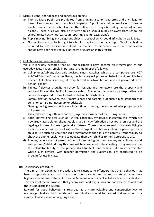- 8) Drugs, alcohol and tobacco and dangerous objects
	- a) Thomas More pupils are prohibited from bringing alcohol, cigarettes and any illegal or harmful substances, onto the school property. A pupil may neither smoke nor consume alcohol nor arrive at school under the influence of drugs (including cannabis) and/or alcohol. These rules will also be strictly applied should pupils be away from school on school-related activities (e.g. tours, sporting events, excursions).
	- b) Pupils may not bring any dangerous objects to school which could inflict harm e.g knives.
	- c) No medication is to be brought to school or kept at school by a pupil. Should a child be required to take medication it should be handed to the School Sister, and notification should have been received by a parent/s or guardian in this regard.
- 9) Cell phones and computer devices

While it is widely accepted that cell phones/tablets have become an integral part of our everyday lives, it is extremely important to remember the following:

- a) Cell phones/tablets/electronic devices, smart watches which are computers are NOT ALLOWED in the Foundation Phase, the Secretary will phone on behalf of children if/when needed. Cell phones and digital computerized smartwatches are also not permitted in the Senior Primary.
- b) Tablets / devices brought to school for lessons and homework are the property and responsibility of the Senior Primary carrier. The school is in no way responsible and cannot be expected to look for lost or stolen phones/tablets.

 Communication between the Primary School and parents is of such a high standard that cell phones are not necessary or advisable.

Gaming during lessons, at break / lunch time or during the extracurricular programme is not permitted.

Tablet/device etiquette and correct usage may form part of the IT programme.

- c) Social networking sites such as Twitter, Facebook, WhatsApp, Instagram etc., which are now freely available on phones/tablets, are strictly forbidden on school premises and the legal age for use of these is generally thirteen. These sites often lead to 'cyber-bullying' – an activity which will be dealt with in the strongest possible way. Should a parent permit a child to use such an unauthorised program/Apps then it is the parents' responsibility to check the phone regularly and to educate their own child as to their appropriate use.
- d) Phones/tablets are not permitted on children during tests and exams, and children found with phones/tablets during this time will be considered to be cheating. They may not use the calculator facility of the phone/tablet for tests and exams, but this is permissible where such devices, with teacher permission and supervision, are requested to be brought for use in class.
- 10) Disciplinary procedure

The aim of the disciplinary procedure is to illustrate to offenders that their behaviour has been inappropriate and that the school, their parents, and indeed society at large, have higher expectations of them. At Thomas More we aim to instill self-discipline in our children. This does not mean, however, that general rules and regulations are not adhered to and that there is no discipline system.

Reward for good behaviour is regarded as a more valuable and constructive way to encourage children than punishment, and children should be praised and rewarded in a variety of ways and on an ongoing basis.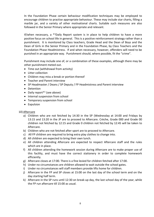In the Foundation Phase certain behaviour modification techniques may be employed to encourage children to practise appropriate behaviour. These may include star charts, filling a marble jar, and a variety of other motivational charts. Suitable such measures are also followed in the Senior Primary where appropriate and relevant.

If/when necessary, a \*<sup>1</sup>Daily Report system is in place to help children to have a more positive focus on school life in general. This is a positive reinforcement strategy rather than a punishment. It is monitored by Class teachers, Grade Head and the Dean of Boys and the Dean of Girls in the Senior Primary and in the Foundation Phase, by Class Teachers and the Foundation Phase Headmistress. If and when necessary, however, offenders will need to be punished in an appropriate way. Punishment should, where possible, fit the "crime".

Punishment may include one of, or a combination of these examples, although there may be other punishment meted out.

- Time out (withdrawal from activity)
- Litter collection
- Children may miss a break or portion thereof
- Teacher and Parent interview
- SP Headmaster / Deans / SP Deputy / FP Headmistress and Parent interview
- Detention
- Daily report<sup>\*1</sup> (see above)
- Internal suspension from school
- Temporary suspension from school
- Expulsion

#### 10) Aftercare

- a) Children who are not fetched by 14:30 in the SP (Wednesday at 14:00 and Fridays by 13:15 and 13:20 in the JP are to proceed to Aftercare. Crèche, Grade 000 and Grade 00 children not fetched by 12:15 and Grade 0 children not fetched by 12:45 will be taken to Aftercare.
- b) Children who are not fetched after sport are to proceed to Aftercare.
- c) All FP children are required to bring extra play clothes to change into.
- d) All children are expected to bring their own lunch.
- e) All children attending Aftercare are expected to respect Aftercare staff and the rules which are in place.
- f) All children attending the homework session during Aftercare are to make proper use of this facility, and must have the correct stationery in order to complete homework efficiently.
- g) Aftercare closes at 17:00. There is a fine levied for children fetched after 17:00.
- h) Under no circumstances are children allowed to wait outside the school gates.
- i) Under no circumstances will staff members provide lifts home for children.
- j) Aftercare in the FP and SP closes at 15:00 on the last day of the school term and on the day starting half term.
- k) Aftercare in the SP runs until 12:30 on break-up day, the last school day of the year, while the FP run aftercare till 15:00 as usual.